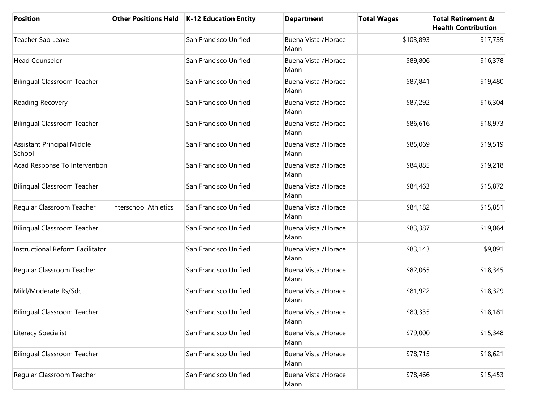| <b>Position</b>                             |                              | Other Positions Held   K-12 Education Entity | <b>Department</b>            | <b>Total Wages</b> | <b>Total Retirement &amp;</b><br><b>Health Contribution</b> |
|---------------------------------------------|------------------------------|----------------------------------------------|------------------------------|--------------------|-------------------------------------------------------------|
| Teacher Sab Leave                           |                              | San Francisco Unified                        | Buena Vista / Horace<br>Mann | \$103,893          | \$17,739                                                    |
| <b>Head Counselor</b>                       |                              | San Francisco Unified                        | Buena Vista / Horace<br>Mann | \$89,806           | \$16,378                                                    |
| <b>Bilingual Classroom Teacher</b>          |                              | San Francisco Unified                        | Buena Vista / Horace<br>Mann | \$87,841           | \$19,480                                                    |
| Reading Recovery                            |                              | San Francisco Unified                        | Buena Vista / Horace<br>Mann | \$87,292           | \$16,304                                                    |
| <b>Bilingual Classroom Teacher</b>          |                              | San Francisco Unified                        | Buena Vista / Horace<br>Mann | \$86,616           | \$18,973                                                    |
| <b>Assistant Principal Middle</b><br>School |                              | San Francisco Unified                        | Buena Vista / Horace<br>Mann | \$85,069           | \$19,519                                                    |
| Acad Response To Intervention               |                              | San Francisco Unified                        | Buena Vista / Horace<br>Mann | \$84,885           | \$19,218                                                    |
| <b>Bilingual Classroom Teacher</b>          |                              | San Francisco Unified                        | Buena Vista / Horace<br>Mann | \$84,463           | \$15,872                                                    |
| Regular Classroom Teacher                   | <b>Interschool Athletics</b> | San Francisco Unified                        | Buena Vista / Horace<br>Mann | \$84,182           | \$15,851                                                    |
| <b>Bilingual Classroom Teacher</b>          |                              | San Francisco Unified                        | Buena Vista / Horace<br>Mann | \$83,387           | \$19,064                                                    |
| Instructional Reform Facilitator            |                              | San Francisco Unified                        | Buena Vista / Horace<br>Mann | \$83,143           | \$9,091                                                     |
| Regular Classroom Teacher                   |                              | San Francisco Unified                        | Buena Vista / Horace<br>Mann | \$82,065           | \$18,345                                                    |
| Mild/Moderate Rs/Sdc                        |                              | San Francisco Unified                        | Buena Vista / Horace<br>Mann | \$81,922           | \$18,329                                                    |
| <b>Bilingual Classroom Teacher</b>          |                              | San Francisco Unified                        | Buena Vista / Horace<br>Mann | \$80,335           | \$18,181                                                    |
| Literacy Specialist                         |                              | San Francisco Unified                        | Buena Vista / Horace<br>Mann | \$79,000           | \$15,348                                                    |
| <b>Bilingual Classroom Teacher</b>          |                              | San Francisco Unified                        | Buena Vista / Horace<br>Mann | \$78,715           | \$18,621                                                    |
| Regular Classroom Teacher                   |                              | San Francisco Unified                        | Buena Vista / Horace<br>Mann | \$78,466           | \$15,453                                                    |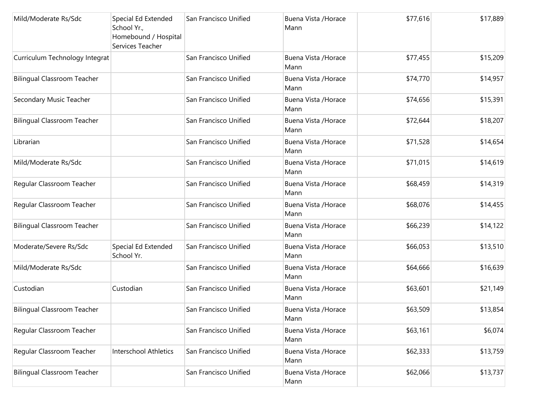| Mild/Moderate Rs/Sdc               | Special Ed Extended<br>School Yr.,<br>Homebound / Hospital<br>Services Teacher | San Francisco Unified | Buena Vista / Horace<br>Mann | \$77,616 | \$17,889 |
|------------------------------------|--------------------------------------------------------------------------------|-----------------------|------------------------------|----------|----------|
| Curriculum Technology Integrat     |                                                                                | San Francisco Unified | Buena Vista / Horace<br>Mann | \$77,455 | \$15,209 |
| <b>Bilingual Classroom Teacher</b> |                                                                                | San Francisco Unified | Buena Vista / Horace<br>Mann | \$74,770 | \$14,957 |
| Secondary Music Teacher            |                                                                                | San Francisco Unified | Buena Vista / Horace<br>Mann | \$74,656 | \$15,391 |
| <b>Bilingual Classroom Teacher</b> |                                                                                | San Francisco Unified | Buena Vista / Horace<br>Mann | \$72,644 | \$18,207 |
| Librarian                          |                                                                                | San Francisco Unified | Buena Vista / Horace<br>Mann | \$71,528 | \$14,654 |
| Mild/Moderate Rs/Sdc               |                                                                                | San Francisco Unified | Buena Vista / Horace<br>Mann | \$71,015 | \$14,619 |
| Regular Classroom Teacher          |                                                                                | San Francisco Unified | Buena Vista / Horace<br>Mann | \$68,459 | \$14,319 |
| Regular Classroom Teacher          |                                                                                | San Francisco Unified | Buena Vista / Horace<br>Mann | \$68,076 | \$14,455 |
| <b>Bilingual Classroom Teacher</b> |                                                                                | San Francisco Unified | Buena Vista / Horace<br>Mann | \$66,239 | \$14,122 |
| Moderate/Severe Rs/Sdc             | Special Ed Extended<br>School Yr.                                              | San Francisco Unified | Buena Vista / Horace<br>Mann | \$66,053 | \$13,510 |
| Mild/Moderate Rs/Sdc               |                                                                                | San Francisco Unified | Buena Vista / Horace<br>Mann | \$64,666 | \$16,639 |
| Custodian                          | Custodian                                                                      | San Francisco Unified | Buena Vista / Horace<br>Mann | \$63,601 | \$21,149 |
| <b>Bilingual Classroom Teacher</b> |                                                                                | San Francisco Unified | Buena Vista / Horace<br>Mann | \$63,509 | \$13,854 |
| Regular Classroom Teacher          |                                                                                | San Francisco Unified | Buena Vista / Horace<br>Mann | \$63,161 | \$6,074  |
| Regular Classroom Teacher          | Interschool Athletics                                                          | San Francisco Unified | Buena Vista / Horace<br>Mann | \$62,333 | \$13,759 |
| <b>Bilingual Classroom Teacher</b> |                                                                                | San Francisco Unified | Buena Vista / Horace<br>Mann | \$62,066 | \$13,737 |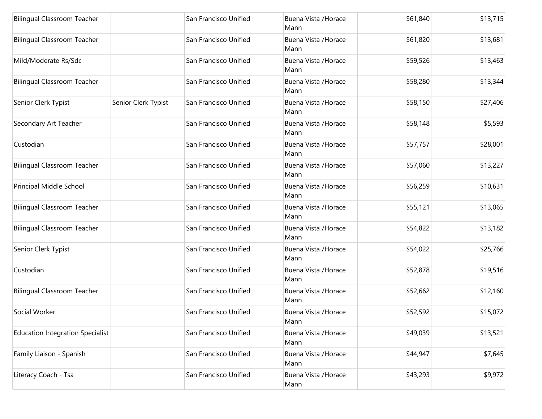| <b>Bilingual Classroom Teacher</b>      |                     | San Francisco Unified | Buena Vista / Horace<br>Mann | \$61,840 | \$13,715 |
|-----------------------------------------|---------------------|-----------------------|------------------------------|----------|----------|
| <b>Bilingual Classroom Teacher</b>      |                     | San Francisco Unified | Buena Vista / Horace<br>Mann | \$61,820 | \$13,681 |
| Mild/Moderate Rs/Sdc                    |                     | San Francisco Unified | Buena Vista / Horace<br>Mann | \$59,526 | \$13,463 |
| <b>Bilingual Classroom Teacher</b>      |                     | San Francisco Unified | Buena Vista / Horace<br>Mann | \$58,280 | \$13,344 |
| Senior Clerk Typist                     | Senior Clerk Typist | San Francisco Unified | Buena Vista / Horace<br>Mann | \$58,150 | \$27,406 |
| Secondary Art Teacher                   |                     | San Francisco Unified | Buena Vista / Horace<br>Mann | \$58,148 | \$5,593  |
| Custodian                               |                     | San Francisco Unified | Buena Vista / Horace<br>Mann | \$57,757 | \$28,001 |
| <b>Bilingual Classroom Teacher</b>      |                     | San Francisco Unified | Buena Vista / Horace<br>Mann | \$57,060 | \$13,227 |
| Principal Middle School                 |                     | San Francisco Unified | Buena Vista / Horace<br>Mann | \$56,259 | \$10,631 |
| <b>Bilingual Classroom Teacher</b>      |                     | San Francisco Unified | Buena Vista / Horace<br>Mann | \$55,121 | \$13,065 |
| <b>Bilingual Classroom Teacher</b>      |                     | San Francisco Unified | Buena Vista / Horace<br>Mann | \$54,822 | \$13,182 |
| Senior Clerk Typist                     |                     | San Francisco Unified | Buena Vista / Horace<br>Mann | \$54,022 | \$25,766 |
| Custodian                               |                     | San Francisco Unified | Buena Vista / Horace<br>Mann | \$52,878 | \$19,516 |
| <b>Bilingual Classroom Teacher</b>      |                     | San Francisco Unified | Buena Vista / Horace<br>Mann | \$52,662 | \$12,160 |
| Social Worker                           |                     | San Francisco Unified | Buena Vista / Horace<br>Mann | \$52,592 | \$15,072 |
| <b>Education Integration Specialist</b> |                     | San Francisco Unified | Buena Vista / Horace<br>Mann | \$49,039 | \$13,521 |
| Family Liaison - Spanish                |                     | San Francisco Unified | Buena Vista / Horace<br>Mann | \$44,947 | \$7,645  |
| Literacy Coach - Tsa                    |                     | San Francisco Unified | Buena Vista / Horace<br>Mann | \$43,293 | \$9,972  |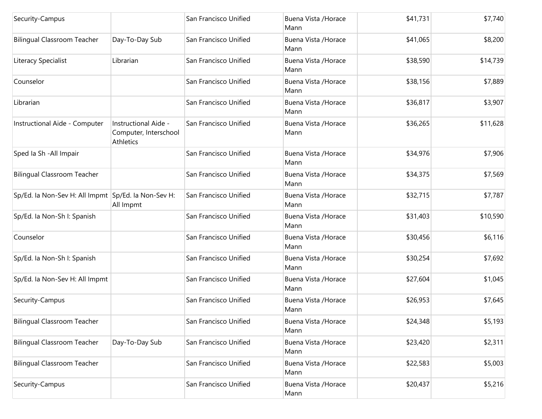| Security-Campus                                     |                                                            | San Francisco Unified | Buena Vista / Horace<br>Mann | \$41,731 | \$7,740  |
|-----------------------------------------------------|------------------------------------------------------------|-----------------------|------------------------------|----------|----------|
| <b>Bilingual Classroom Teacher</b>                  | Day-To-Day Sub                                             | San Francisco Unified | Buena Vista / Horace<br>Mann | \$41,065 | \$8,200  |
| Literacy Specialist                                 | Librarian                                                  | San Francisco Unified | Buena Vista / Horace<br>Mann | \$38,590 | \$14,739 |
| Counselor                                           |                                                            | San Francisco Unified | Buena Vista / Horace<br>Mann | \$38,156 | \$7,889  |
| Librarian                                           |                                                            | San Francisco Unified | Buena Vista / Horace<br>Mann | \$36,817 | \$3,907  |
| Instructional Aide - Computer                       | Instructional Aide -<br>Computer, Interschool<br>Athletics | San Francisco Unified | Buena Vista / Horace<br>Mann | \$36,265 | \$11,628 |
| Sped Ia Sh - All Impair                             |                                                            | San Francisco Unified | Buena Vista / Horace<br>Mann | \$34,976 | \$7,906  |
| <b>Bilingual Classroom Teacher</b>                  |                                                            | San Francisco Unified | Buena Vista / Horace<br>Mann | \$34,375 | \$7,569  |
| Sp/Ed. la Non-Sev H: All Impmt Sp/Ed. la Non-Sev H: | All Impmt                                                  | San Francisco Unified | Buena Vista / Horace<br>Mann | \$32,715 | \$7,787  |
| Sp/Ed. la Non-Sh I: Spanish                         |                                                            | San Francisco Unified | Buena Vista / Horace<br>Mann | \$31,403 | \$10,590 |
| Counselor                                           |                                                            | San Francisco Unified | Buena Vista / Horace<br>Mann | \$30,456 | \$6,116  |
| Sp/Ed. la Non-Sh I: Spanish                         |                                                            | San Francisco Unified | Buena Vista / Horace<br>Mann | \$30,254 | \$7,692  |
| Sp/Ed. la Non-Sev H: All Impmt                      |                                                            | San Francisco Unified | Buena Vista / Horace<br>Mann | \$27,604 | \$1,045  |
| Security-Campus                                     |                                                            | San Francisco Unified | Buena Vista / Horace<br>Mann | \$26,953 | \$7,645  |
| Bilingual Classroom Teacher                         |                                                            | San Francisco Unified | Buena Vista /Horace<br>Mann  | \$24,348 | \$5,193  |
| <b>Bilingual Classroom Teacher</b>                  | Day-To-Day Sub                                             | San Francisco Unified | Buena Vista / Horace<br>Mann | \$23,420 | \$2,311  |
| <b>Bilingual Classroom Teacher</b>                  |                                                            | San Francisco Unified | Buena Vista / Horace<br>Mann | \$22,583 | \$5,003  |
| Security-Campus                                     |                                                            | San Francisco Unified | Buena Vista / Horace<br>Mann | \$20,437 | \$5,216  |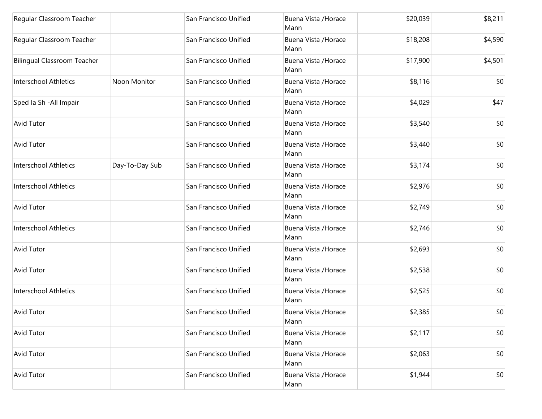| Regular Classroom Teacher          |                | San Francisco Unified | Buena Vista / Horace<br>Mann | \$20,039 | \$8,211 |
|------------------------------------|----------------|-----------------------|------------------------------|----------|---------|
| Regular Classroom Teacher          |                | San Francisco Unified | Buena Vista / Horace<br>Mann | \$18,208 | \$4,590 |
| <b>Bilingual Classroom Teacher</b> |                | San Francisco Unified | Buena Vista / Horace<br>Mann | \$17,900 | \$4,501 |
| Interschool Athletics              | Noon Monitor   | San Francisco Unified | Buena Vista / Horace<br>Mann | \$8,116  | \$0     |
| Sped Ia Sh - All Impair            |                | San Francisco Unified | Buena Vista / Horace<br>Mann | \$4,029  | \$47    |
| <b>Avid Tutor</b>                  |                | San Francisco Unified | Buena Vista / Horace<br>Mann | \$3,540  | \$0     |
| <b>Avid Tutor</b>                  |                | San Francisco Unified | Buena Vista / Horace<br>Mann | \$3,440  | \$0     |
| Interschool Athletics              | Day-To-Day Sub | San Francisco Unified | Buena Vista / Horace<br>Mann | \$3,174  | \$0     |
| Interschool Athletics              |                | San Francisco Unified | Buena Vista / Horace<br>Mann | \$2,976  | \$0     |
| <b>Avid Tutor</b>                  |                | San Francisco Unified | Buena Vista / Horace<br>Mann | \$2,749  | \$0     |
| Interschool Athletics              |                | San Francisco Unified | Buena Vista / Horace<br>Mann | \$2,746  | \$0     |
| <b>Avid Tutor</b>                  |                | San Francisco Unified | Buena Vista / Horace<br>Mann | \$2,693  | \$0     |
| <b>Avid Tutor</b>                  |                | San Francisco Unified | Buena Vista / Horace<br>Mann | \$2,538  | \$0     |
| Interschool Athletics              |                | San Francisco Unified | Buena Vista / Horace<br>Mann | \$2,525  | \$0     |
| <b>Avid Tutor</b>                  |                | San Francisco Unified | Buena Vista / Horace<br>Mann | \$2,385  | \$0     |
| <b>Avid Tutor</b>                  |                | San Francisco Unified | Buena Vista / Horace<br>Mann | \$2,117  | \$0     |
| <b>Avid Tutor</b>                  |                | San Francisco Unified | Buena Vista / Horace<br>Mann | \$2,063  | \$0     |
| <b>Avid Tutor</b>                  |                | San Francisco Unified | Buena Vista / Horace<br>Mann | \$1,944  | \$0     |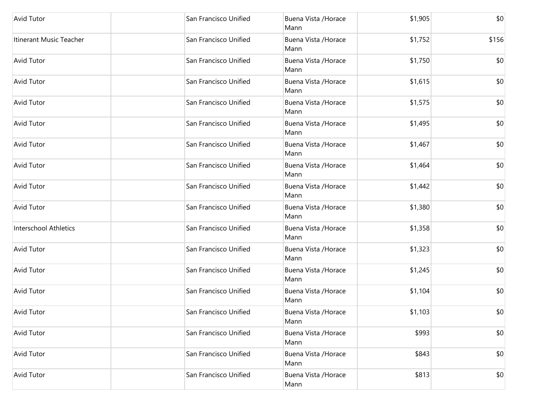| <b>Avid Tutor</b>       | San Francisco Unified | Buena Vista / Horace<br>Mann | \$1,905 | \$0   |
|-------------------------|-----------------------|------------------------------|---------|-------|
| Itinerant Music Teacher | San Francisco Unified | Buena Vista / Horace<br>Mann | \$1,752 | \$156 |
| <b>Avid Tutor</b>       | San Francisco Unified | Buena Vista / Horace<br>Mann | \$1,750 | \$0   |
| <b>Avid Tutor</b>       | San Francisco Unified | Buena Vista / Horace<br>Mann | \$1,615 | \$0   |
| <b>Avid Tutor</b>       | San Francisco Unified | Buena Vista / Horace<br>Mann | \$1,575 | \$0   |
| <b>Avid Tutor</b>       | San Francisco Unified | Buena Vista / Horace<br>Mann | \$1,495 | \$0   |
| <b>Avid Tutor</b>       | San Francisco Unified | Buena Vista / Horace<br>Mann | \$1,467 | \$0   |
| <b>Avid Tutor</b>       | San Francisco Unified | Buena Vista / Horace<br>Mann | \$1,464 | \$0   |
| <b>Avid Tutor</b>       | San Francisco Unified | Buena Vista / Horace<br>Mann | \$1,442 | \$0   |
| <b>Avid Tutor</b>       | San Francisco Unified | Buena Vista / Horace<br>Mann | \$1,380 | \$0   |
| Interschool Athletics   | San Francisco Unified | Buena Vista / Horace<br>Mann | \$1,358 | \$0   |
| <b>Avid Tutor</b>       | San Francisco Unified | Buena Vista / Horace<br>Mann | \$1,323 | \$0   |
| <b>Avid Tutor</b>       | San Francisco Unified | Buena Vista / Horace<br>Mann | \$1,245 | \$0   |
| <b>Avid Tutor</b>       | San Francisco Unified | Buena Vista / Horace<br>Mann | \$1,104 | \$0   |
| <b>Avid Tutor</b>       | San Francisco Unified | Buena Vista / Horace<br>Mann | \$1,103 | \$0   |
| <b>Avid Tutor</b>       | San Francisco Unified | Buena Vista / Horace<br>Mann | \$993   | \$0   |
| <b>Avid Tutor</b>       | San Francisco Unified | Buena Vista / Horace<br>Mann | \$843   | \$0   |
| <b>Avid Tutor</b>       | San Francisco Unified | Buena Vista / Horace<br>Mann | \$813   | \$0   |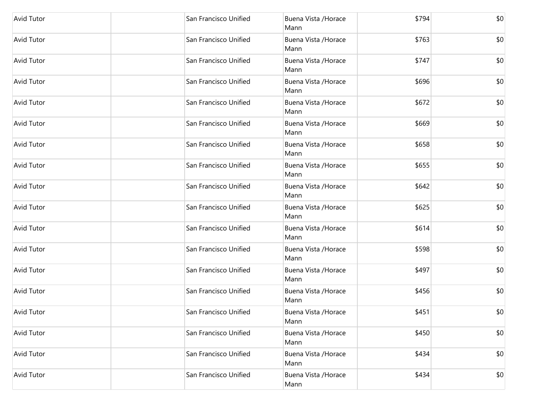| <b>Avid Tutor</b> | San Francisco Unified | Buena Vista / Horace<br>Mann | \$794 | \$0 |
|-------------------|-----------------------|------------------------------|-------|-----|
| <b>Avid Tutor</b> | San Francisco Unified | Buena Vista / Horace<br>Mann | \$763 | \$0 |
| <b>Avid Tutor</b> | San Francisco Unified | Buena Vista / Horace<br>Mann | \$747 | \$0 |
| <b>Avid Tutor</b> | San Francisco Unified | Buena Vista / Horace<br>Mann | \$696 | \$0 |
| <b>Avid Tutor</b> | San Francisco Unified | Buena Vista / Horace<br>Mann | \$672 | \$0 |
| <b>Avid Tutor</b> | San Francisco Unified | Buena Vista / Horace<br>Mann | \$669 | \$0 |
| <b>Avid Tutor</b> | San Francisco Unified | Buena Vista / Horace<br>Mann | \$658 | \$0 |
| <b>Avid Tutor</b> | San Francisco Unified | Buena Vista / Horace<br>Mann | \$655 | \$0 |
| <b>Avid Tutor</b> | San Francisco Unified | Buena Vista / Horace<br>Mann | \$642 | \$0 |
| <b>Avid Tutor</b> | San Francisco Unified | Buena Vista / Horace<br>Mann | \$625 | \$0 |
| <b>Avid Tutor</b> | San Francisco Unified | Buena Vista / Horace<br>Mann | \$614 | \$0 |
| <b>Avid Tutor</b> | San Francisco Unified | Buena Vista / Horace<br>Mann | \$598 | \$0 |
| <b>Avid Tutor</b> | San Francisco Unified | Buena Vista / Horace<br>Mann | \$497 | \$0 |
| <b>Avid Tutor</b> | San Francisco Unified | Buena Vista / Horace<br>Mann | \$456 | \$0 |
| Avid Tutor        | San Francisco Unified | Buena Vista / Horace<br>Mann | \$451 | \$0 |
| Avid Tutor        | San Francisco Unified | Buena Vista / Horace<br>Mann | \$450 | \$0 |
| Avid Tutor        | San Francisco Unified | Buena Vista / Horace<br>Mann | \$434 | \$0 |
| Avid Tutor        | San Francisco Unified | Buena Vista / Horace<br>Mann | \$434 | \$0 |